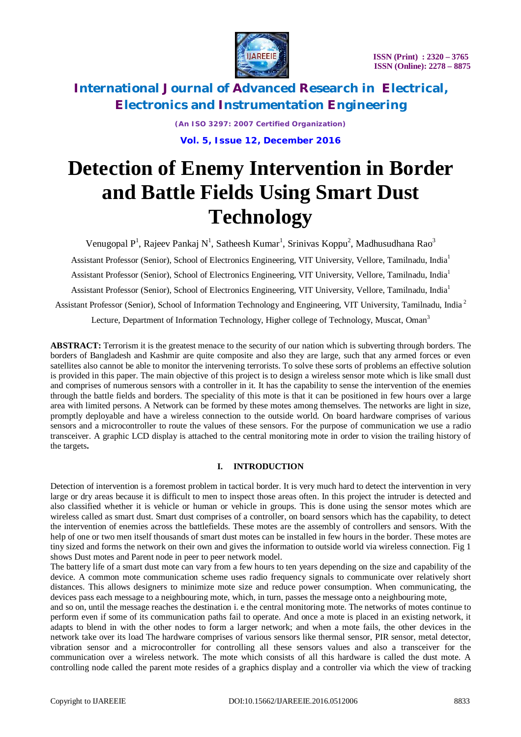

> *(An ISO 3297: 2007 Certified Organization)* **Vol. 5, Issue 12, December 2016**

# **Detection of Enemy Intervention in Border and Battle Fields Using Smart Dust Technology**

Venugopal P<sup>1</sup>, Rajeev Pankaj N<sup>1</sup>, Satheesh Kumar<sup>1</sup>, Srinivas Koppu<sup>2</sup>, Madhusudhana Rao<sup>3</sup> Assistant Professor (Senior), School of Electronics Engineering, VIT University, Vellore, Tamilnadu, India<sup>1</sup> Assistant Professor (Senior), School of Electronics Engineering, VIT University, Vellore, Tamilnadu, India<sup>1</sup>

Assistant Professor (Senior), School of Electronics Engineering, VIT University, Vellore, Tamilnadu, India<sup>1</sup> Assistant Professor (Senior), School of Information Technology and Engineering, VIT University, Tamilnadu, India <sup>2</sup>

Lecture, Department of Information Technology, Higher college of Technology, Muscat, Oman<sup>3</sup>

**ABSTRACT:** Terrorism it is the greatest menace to the security of our nation which is subverting through borders. The borders of Bangladesh and Kashmir are quite composite and also they are large, such that any armed forces or even satellites also cannot be able to monitor the intervening terrorists. To solve these sorts of problems an effective solution is provided in this paper. The main objective of this project is to design a wireless sensor mote which is like small dust and comprises of numerous sensors with a controller in it. It has the capability to sense the intervention of the enemies through the battle fields and borders. The speciality of this mote is that it can be positioned in few hours over a large area with limited persons. A Network can be formed by these motes among themselves. The networks are light in size, promptly deployable and have a wireless connection to the outside world. On board hardware comprises of various sensors and a microcontroller to route the values of these sensors. For the purpose of communication we use a radio transceiver. A graphic LCD display is attached to the central monitoring mote in order to vision the trailing history of the targets**.** 

#### **I. INTRODUCTION**

Detection of intervention is a foremost problem in tactical border. It is very much hard to detect the intervention in very large or dry areas because it is difficult to men to inspect those areas often. In this project the intruder is detected and also classified whether it is vehicle or human or vehicle in groups. This is done using the sensor motes which are wireless called as smart dust. Smart dust comprises of a controller, on board sensors which has the capability, to detect the intervention of enemies across the battlefields. These motes are the assembly of controllers and sensors. With the help of one or two men itself thousands of smart dust motes can be installed in few hours in the border. These motes are tiny sized and forms the network on their own and gives the information to outside world via wireless connection. Fig 1 shows Dust motes and Parent node in peer to peer network model.

The battery life of a smart dust mote can vary from a few hours to ten years depending on the size and capability of the device. A common mote communication scheme uses radio frequency signals to communicate over relatively short distances. This allows designers to minimize mote size and reduce power consumption. When communicating, the devices pass each message to a neighbouring mote, which, in turn, passes the message onto a neighbouring mote,

and so on, until the message reaches the destination i. e the central monitoring mote. The networks of motes continue to perform even if some of its communication paths fail to operate. And once a mote is placed in an existing network, it adapts to blend in with the other nodes to form a larger network; and when a mote fails, the other devices in the network take over its load The hardware comprises of various sensors like thermal sensor, PIR sensor, metal detector, vibration sensor and a microcontroller for controlling all these sensors values and also a transceiver for the communication over a wireless network. The mote which consists of all this hardware is called the dust mote. A controlling node called the parent mote resides of a graphics display and a controller via which the view of tracking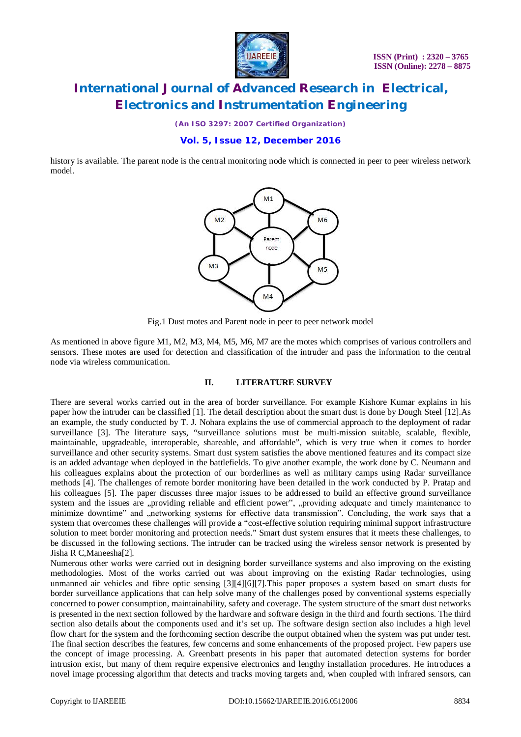

*(An ISO 3297: 2007 Certified Organization)*

### **Vol. 5, Issue 12, December 2016**

history is available. The parent node is the central monitoring node which is connected in peer to peer wireless network model.



Fig.1 Dust motes and Parent node in peer to peer network model

As mentioned in above figure M1, M2, M3, M4, M5, M6, M7 are the motes which comprises of various controllers and sensors. These motes are used for detection and classification of the intruder and pass the information to the central node via wireless communication.

#### **II. LITERATURE SURVEY**

There are several works carried out in the area of border surveillance. For example Kishore Kumar explains in his paper how the intruder can be classified [1]. The detail description about the smart dust is done by Dough Steel [12].As an example, the study conducted by T. J. Nohara explains the use of commercial approach to the deployment of radar surveillance [3]. The literature says, "surveillance solutions must be multi-mission suitable, scalable, flexible, maintainable, upgradeable, interoperable, shareable, and affordable", which is very true when it comes to border surveillance and other security systems. Smart dust system satisfies the above mentioned features and its compact size is an added advantage when deployed in the battlefields. To give another example, the work done by C. Neumann and his colleagues explains about the protection of our borderlines as well as military camps using Radar surveillance methods [4]. The challenges of remote border monitoring have been detailed in the work conducted by P. Pratap and his colleagues [5]. The paper discusses three major issues to be addressed to build an effective ground surveillance system and the issues are "providing reliable and efficient power", "providing adequate and timely maintenance to minimize downtime" and networking systems for effective data transmission". Concluding, the work says that a system that overcomes these challenges will provide a "cost-effective solution requiring minimal support infrastructure solution to meet border monitoring and protection needs." Smart dust system ensures that it meets these challenges, to be discussed in the following sections. The intruder can be tracked using the wireless sensor network is presented by Jisha R C,Maneesha[2].

Numerous other works were carried out in designing border surveillance systems and also improving on the existing methodologies. Most of the works carried out was about improving on the existing Radar technologies, using unmanned air vehicles and fibre optic sensing [3][4][6][7].This paper proposes a system based on smart dusts for border surveillance applications that can help solve many of the challenges posed by conventional systems especially concerned to power consumption, maintainability, safety and coverage. The system structure of the smart dust networks is presented in the next section followed by the hardware and software design in the third and fourth sections. The third section also details about the components used and it's set up. The software design section also includes a high level flow chart for the system and the forthcoming section describe the output obtained when the system was put under test. The final section describes the features, few concerns and some enhancements of the proposed project. Few papers use the concept of image processing. A. Greenbatt presents in his paper that automated detection systems for border intrusion exist, but many of them require expensive electronics and lengthy installation procedures. He introduces a novel image processing algorithm that detects and tracks moving targets and, when coupled with infrared sensors, can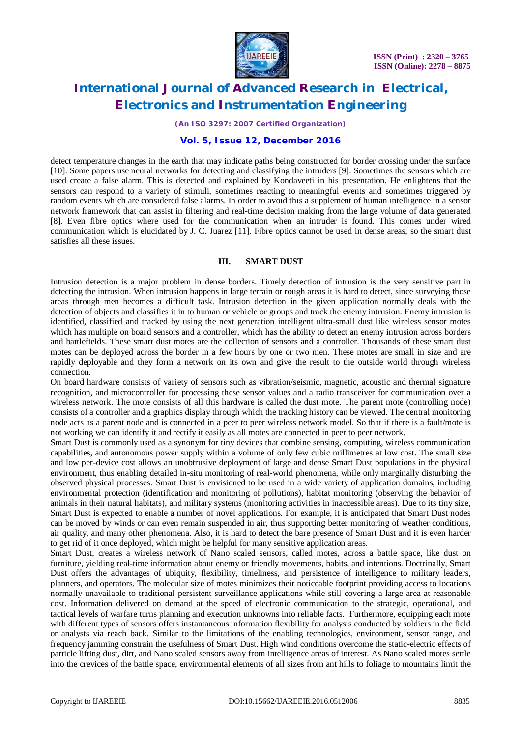

*(An ISO 3297: 2007 Certified Organization)*

### **Vol. 5, Issue 12, December 2016**

detect temperature changes in the earth that may indicate paths being constructed for border crossing under the surface [10]. Some papers use neural networks for detecting and classifying the intruders [9]. Sometimes the sensors which are used create a false alarm. This is detected and explained by Kondaveeti in his presentation. He enlightens that the sensors can respond to a variety of stimuli, sometimes reacting to meaningful events and sometimes triggered by random events which are considered false alarms. In order to avoid this a supplement of human intelligence in a sensor network framework that can assist in filtering and real-time decision making from the large volume of data generated [8]. Even fibre optics where used for the communication when an intruder is found. This comes under wired communication which is elucidated by J. C. Juarez [11]. Fibre optics cannot be used in dense areas, so the smart dust satisfies all these issues.

#### **III. SMART DUST**

Intrusion detection is a major problem in dense borders. Timely detection of intrusion is the very sensitive part in detecting the intrusion. When intrusion happens in large terrain or rough areas it is hard to detect, since surveying those areas through men becomes a difficult task. Intrusion detection in the given application normally deals with the detection of objects and classifies it in to human or vehicle or groups and track the enemy intrusion. Enemy intrusion is identified, classified and tracked by using the next generation intelligent ultra-small dust like wireless sensor motes which has multiple on board sensors and a controller, which has the ability to detect an enemy intrusion across borders and battlefields. These smart dust motes are the collection of sensors and a controller. Thousands of these smart dust motes can be deployed across the border in a few hours by one or two men. These motes are small in size and are rapidly deployable and they form a network on its own and give the result to the outside world through wireless connection.

On board hardware consists of variety of sensors such as vibration/seismic, magnetic, acoustic and thermal signature recognition, and microcontroller for processing these sensor values and a radio transceiver for communication over a wireless network. The mote consists of all this hardware is called the dust mote. The parent mote (controlling node) consists of a controller and a graphics display through which the tracking history can be viewed. The central monitoring node acts as a parent node and is connected in a peer to peer wireless network model. So that if there is a fault/mote is not working we can identify it and rectify it easily as all motes are connected in peer to peer network.

Smart Dust is commonly used as a synonym for tiny devices that combine sensing, computing, wireless communication capabilities, and autonomous power supply within a volume of only few cubic millimetres at low cost. The small size and low per-device cost allows an unobtrusive deployment of large and dense Smart Dust populations in the physical environment, thus enabling detailed in-situ monitoring of real-world phenomena, while only marginally disturbing the observed physical processes. Smart Dust is envisioned to be used in a wide variety of application domains, including environmental protection (identification and monitoring of pollutions), habitat monitoring (observing the behavior of animals in their natural habitats), and military systems (monitoring activities in inaccessible areas). Due to its tiny size, Smart Dust is expected to enable a number of novel applications. For example, it is anticipated that Smart Dust nodes can be moved by winds or can even remain suspended in air, thus supporting better monitoring of weather conditions, air quality, and many other phenomena. Also, it is hard to detect the bare presence of Smart Dust and it is even harder to get rid of it once deployed, which might be helpful for many sensitive application areas.

Smart Dust, creates a wireless network of Nano scaled sensors, called motes, across a battle space, like dust on furniture, yielding real-time information about enemy or friendly movements, habits, and intentions. Doctrinally, Smart Dust offers the advantages of ubiquity, flexibility, timeliness, and persistence of intelligence to military leaders, planners, and operators. The molecular size of motes minimizes their noticeable footprint providing access to locations normally unavailable to traditional persistent surveillance applications while still covering a large area at reasonable cost. Information delivered on demand at the speed of electronic communication to the strategic, operational, and tactical levels of warfare turns planning and execution unknowns into reliable facts. Furthermore, equipping each mote with different types of sensors offers instantaneous information flexibility for analysis conducted by soldiers in the field or analysts via reach back. Similar to the limitations of the enabling technologies, environment, sensor range, and frequency jamming constrain the usefulness of Smart Dust. High wind conditions overcome the static-electric effects of particle lifting dust, dirt, and Nano scaled sensors away from intelligence areas of interest. As Nano scaled motes settle into the crevices of the battle space, environmental elements of all sizes from ant hills to foliage to mountains limit the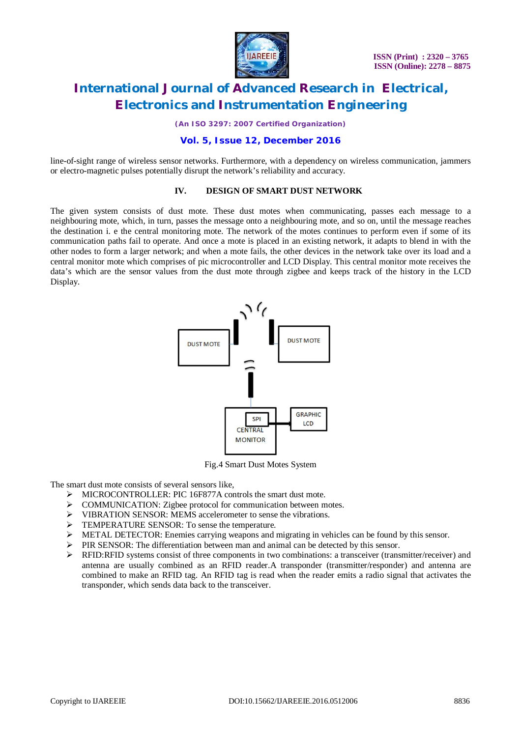

*(An ISO 3297: 2007 Certified Organization)*

#### **Vol. 5, Issue 12, December 2016**

line-of-sight range of wireless sensor networks. Furthermore, with a dependency on wireless communication, jammers or electro-magnetic pulses potentially disrupt the network's reliability and accuracy.

#### **IV. DESIGN OF SMART DUST NETWORK**

The given system consists of dust mote. These dust motes when communicating, passes each message to a neighbouring mote, which, in turn, passes the message onto a neighbouring mote, and so on, until the message reaches the destination i. e the central monitoring mote. The network of the motes continues to perform even if some of its communication paths fail to operate. And once a mote is placed in an existing network, it adapts to blend in with the other nodes to form a larger network; and when a mote fails, the other devices in the network take over its load and a central monitor mote which comprises of pic microcontroller and LCD Display. This central monitor mote receives the data's which are the sensor values from the dust mote through zigbee and keeps track of the history in the LCD Display.



Fig.4 Smart Dust Motes System

The smart dust mote consists of several sensors like,

- > MICROCONTROLLER: PIC 16F877A controls the smart dust mote.
- > COMMUNICATION: Zigbee protocol for communication between motes.
- > VIBRATION SENSOR: MEMS accelerometer to sense the vibrations.
- > TEMPERATURE SENSOR: To sense the temperature.
- $\triangleright$  METAL DETECTOR: Enemies carrying weapons and migrating in vehicles can be found by this sensor.
- PIR SENSOR: The differentiation between man and animal can be detected by this sensor.<br>
REID: REID: REID: RV4 consists of three components in two combinations: a transceiver (trans
- RFID:RFID systems consist of three components in two combinations: a transceiver (transmitter/receiver) and antenna are usually combined as an RFID reader.A transponder (transmitter/responder) and antenna are combined to make an RFID tag. An RFID tag is read when the reader emits a radio signal that activates the transponder, which sends data back to the transceiver.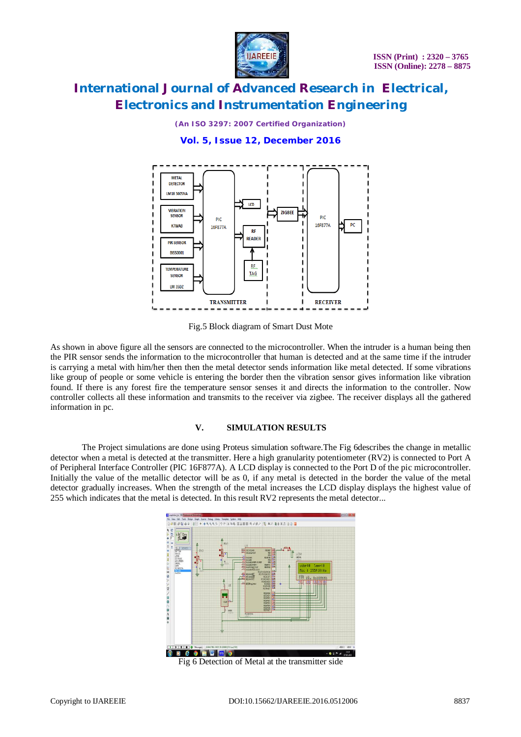

*(An ISO 3297: 2007 Certified Organization)*

### **Vol. 5, Issue 12, December 2016**



Fig.5 Block diagram of Smart Dust Mote

As shown in above figure all the sensors are connected to the microcontroller. When the intruder is a human being then the PIR sensor sends the information to the microcontroller that human is detected and at the same time if the intruder is carrying a metal with him/her then then the metal detector sends information like metal detected. If some vibrations like group of people or some vehicle is entering the border then the vibration sensor gives information like vibration found. If there is any forest fire the temperature sensor senses it and directs the information to the controller. Now controller collects all these information and transmits to the receiver via zigbee. The receiver displays all the gathered information in pc.

#### **V. SIMULATION RESULTS**

The Project simulations are done using Proteus simulation software.The Fig 6describes the change in metallic detector when a metal is detected at the transmitter. Here a high granularity potentiometer (RV2) is connected to Port A of Peripheral Interface Controller (PIC 16F877A). A LCD display is connected to the Port D of the pic microcontroller. Initially the value of the metallic detector will be as 0, if any metal is detected in the border the value of the metal detector gradually increases. When the strength of the metal increases the LCD display displays the highest value of 255 which indicates that the metal is detected. In this result RV2 represents the metal detector...



Fig 6 Detection of Metal at the transmitter side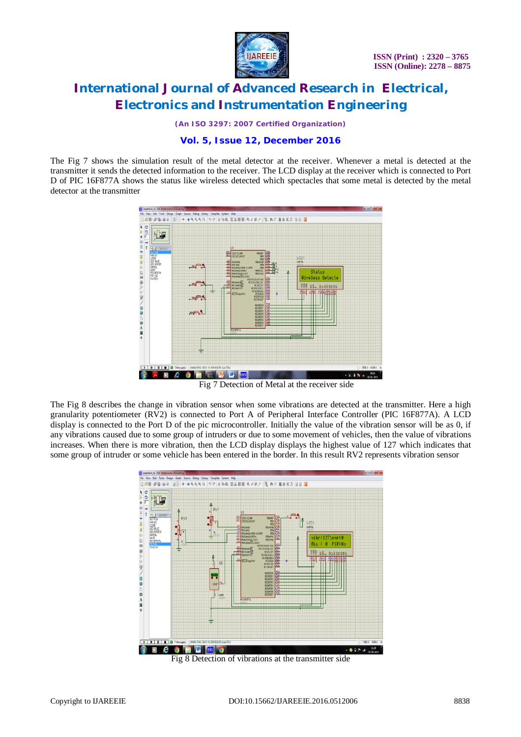

*(An ISO 3297: 2007 Certified Organization)*

### **Vol. 5, Issue 12, December 2016**

The Fig 7 shows the simulation result of the metal detector at the receiver. Whenever a metal is detected at the transmitter it sends the detected information to the receiver. The LCD display at the receiver which is connected to Port D of PIC 16F877A shows the status like wireless detected which spectacles that some metal is detected by the metal detector at the transmitter



Fig 7 Detection of Metal at the receiver side

The Fig 8 describes the change in vibration sensor when some vibrations are detected at the transmitter. Here a high granularity potentiometer (RV2) is connected to Port A of Peripheral Interface Controller (PIC 16F877A). A LCD display is connected to the Port D of the pic microcontroller. Initially the value of the vibration sensor will be as 0, if any vibrations caused due to some group of intruders or due to some movement of vehicles, then the value of vibrations increases. When there is more vibration, then the LCD display displays the highest value of 127 which indicates that some group of intruder or some vehicle has been entered in the border. In this result RV2 represents vibration sensor



Fig 8 Detection of vibrations at the transmitter side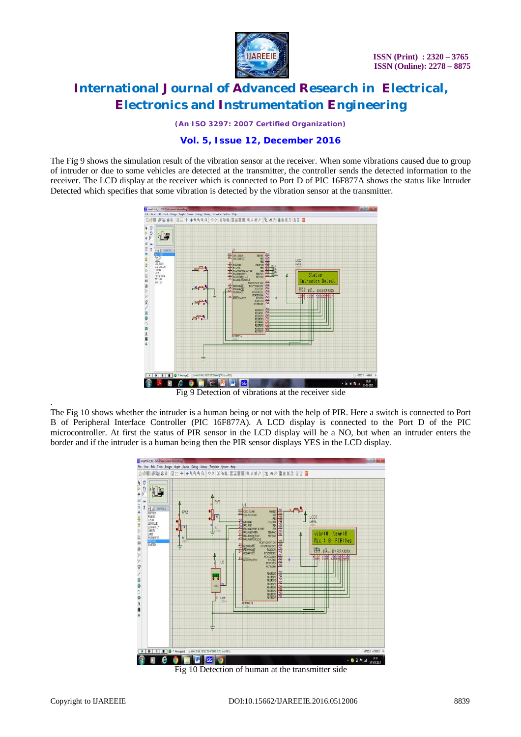

*(An ISO 3297: 2007 Certified Organization)*

### **Vol. 5, Issue 12, December 2016**

The Fig 9 shows the simulation result of the vibration sensor at the receiver. When some vibrations caused due to group of intruder or due to some vehicles are detected at the transmitter, the controller sends the detected information to the receiver. The LCD display at the receiver which is connected to Port D of PIC 16F877A shows the status like Intruder Detected which specifies that some vibration is detected by the vibration sensor at the transmitter.



Fig 9 Detection of vibrations at the receiver side

The Fig 10 shows whether the intruder is a human being or not with the help of PIR. Here a switch is connected to Port B of Peripheral Interface Controller (PIC 16F877A). A LCD display is connected to the Port D of the PIC microcontroller. At first the status of PIR sensor in the LCD display will be a NO, but when an intruder enters the border and if the intruder is a human being then the PIR sensor displays YES in the LCD display.



Fig 10 Detection of human at the transmitter side

.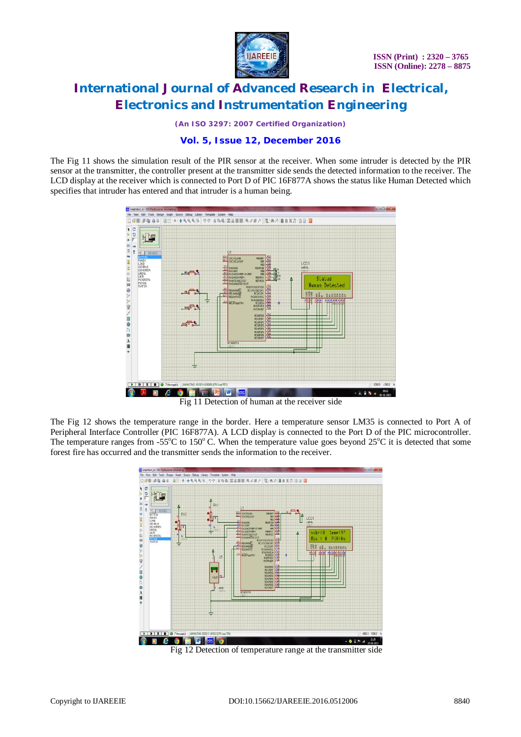

*(An ISO 3297: 2007 Certified Organization)*

### **Vol. 5, Issue 12, December 2016**

The Fig 11 shows the simulation result of the PIR sensor at the receiver. When some intruder is detected by the PIR sensor at the transmitter, the controller present at the transmitter side sends the detected information to the receiver. The LCD display at the receiver which is connected to Port D of PIC 16F877A shows the status like Human Detected which specifies that intruder has entered and that intruder is a human being.



Fig 11 Detection of human at the receiver side

The Fig 12 shows the temperature range in the border. Here a temperature sensor LM35 is connected to Port A of Peripheral Interface Controller (PIC 16F877A). A LCD display is connected to the Port D of the PIC microcontroller. The temperature ranges from -55 $^{\circ}$ C to 150 $^{\circ}$ C. When the temperature value goes beyond 25 $^{\circ}$ C it is detected that some forest fire has occurred and the transmitter sends the information to the receiver.



Fig 12 Detection of temperature range at the transmitter side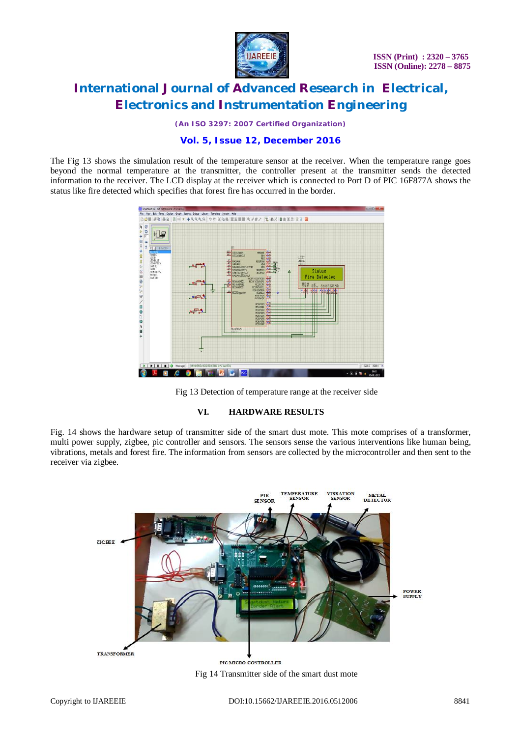

*(An ISO 3297: 2007 Certified Organization)*

### **Vol. 5, Issue 12, December 2016**

The Fig 13 shows the simulation result of the temperature sensor at the receiver. When the temperature range goes beyond the normal temperature at the transmitter, the controller present at the transmitter sends the detected information to the receiver. The LCD display at the receiver which is connected to Port D of PIC 16F877A shows the status like fire detected which specifies that forest fire has occurred in the border.





#### **VI. HARDWARE RESULTS**

Fig. 14 shows the hardware setup of transmitter side of the smart dust mote. This mote comprises of a transformer, multi power supply, zigbee, pic controller and sensors. The sensors sense the various interventions like human being, vibrations, metals and forest fire. The information from sensors are collected by the microcontroller and then sent to the receiver via zigbee.

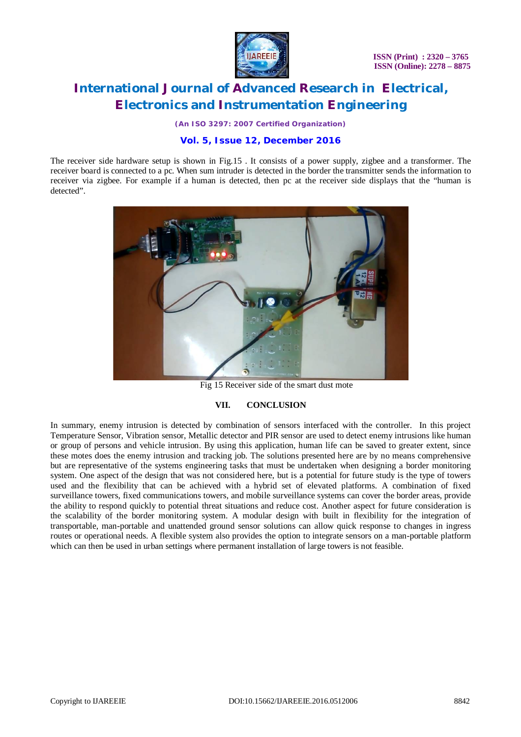

*(An ISO 3297: 2007 Certified Organization)*

### **Vol. 5, Issue 12, December 2016**

The receiver side hardware setup is shown in Fig.15 . It consists of a power supply, zigbee and a transformer. The receiver board is connected to a pc. When sum intruder is detected in the border the transmitter sends the information to receiver via zigbee. For example if a human is detected, then pc at the receiver side displays that the "human is detected".



Fig 15 Receiver side of the smart dust mote

#### **VII. CONCLUSION**

In summary, enemy intrusion is detected by combination of sensors interfaced with the controller. In this project Temperature Sensor, Vibration sensor, Metallic detector and PIR sensor are used to detect enemy intrusions like human or group of persons and vehicle intrusion. By using this application, human life can be saved to greater extent, since these motes does the enemy intrusion and tracking job. The solutions presented here are by no means comprehensive but are representative of the systems engineering tasks that must be undertaken when designing a border monitoring system. One aspect of the design that was not considered here, but is a potential for future study is the type of towers used and the flexibility that can be achieved with a hybrid set of elevated platforms. A combination of fixed surveillance towers, fixed communications towers, and mobile surveillance systems can cover the border areas, provide the ability to respond quickly to potential threat situations and reduce cost. Another aspect for future consideration is the scalability of the border monitoring system. A modular design with built in flexibility for the integration of transportable, man-portable and unattended ground sensor solutions can allow quick response to changes in ingress routes or operational needs. A flexible system also provides the option to integrate sensors on a man-portable platform which can then be used in urban settings where permanent installation of large towers is not feasible.